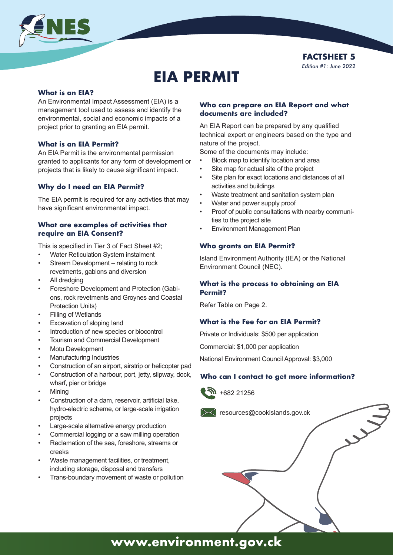



# **EIA PERMIT**

#### **What is an EIA?**

An Environmental Impact Assessment (EIA) is a management tool used to assess and identify the environmental, social and economic impacts of a project prior to granting an EIA permit.

### **What is an EIA Permit?**

An EIA Permit is the environmental permission granted to applicants for any form of development or projects that is likely to cause significant impact.

### **Why do I need an EIA Permit?**

The EIA permit is required for any activties that may have significant environmental impact.

#### **What are examples of activities that require an EIA Consent?**

This is specified in Tier 3 of Fact Sheet #2;

- Water Reticulation System instalment
- Stream Development relating to rock revetments, gabions and diversion
- All dredging
- Foreshore Development and Protection (Gabions, rock revetments and Groynes and Coastal Protection Units)
- Filling of Wetlands
- Excavation of sloping land
- Introduction of new species or biocontrol
- Tourism and Commercial Development
- Motu Development
- Manufacturing Industries
- Construction of an airport, airstrip or helicopter pad
- Construction of a harbour, port, jetty, slipway, dock, wharf, pier or bridge
- Mining
- Construction of a dam, reservoir, artificial lake, hydro-electric scheme, or large-scale irrigation projects
- Large-scale alternative energy production
- Commercial logging or a saw milling operation
- Reclamation of the sea, foreshore, streams or creeks
- Waste management facilities, or treatment, including storage, disposal and transfers
- Trans-boundary movement of waste or pollution

### **Who can prepare an EIA Report and what documents are included?**

An EIA Report can be prepared by any qualified technical expert or engineers based on the type and nature of the project.

Some of the documents may include:

- Block map to identify location and area
- Site map for actual site of the project
- Site plan for exact locations and distances of all activities and buildings
- Waste treatment and sanitation system plan
- Water and power supply proof
- Proof of public consultations with nearby communities to the project site
- Environment Management Plan

#### **Who grants an EIA Permit?**

Island Environment Authority (IEA) or the National Environment Council (NEC).

## **What is the process to obtaining an EIA Permit?**

Refer Table on Page 2.

### **What is the Fee for an EIA Permit?**

Private or Individuals: \$500 per application

Commercial: \$1,000 per application

National Environment Council Approval: \$3,000

## **Who can I contact to get more information?**





**www.environment.gov.ck**